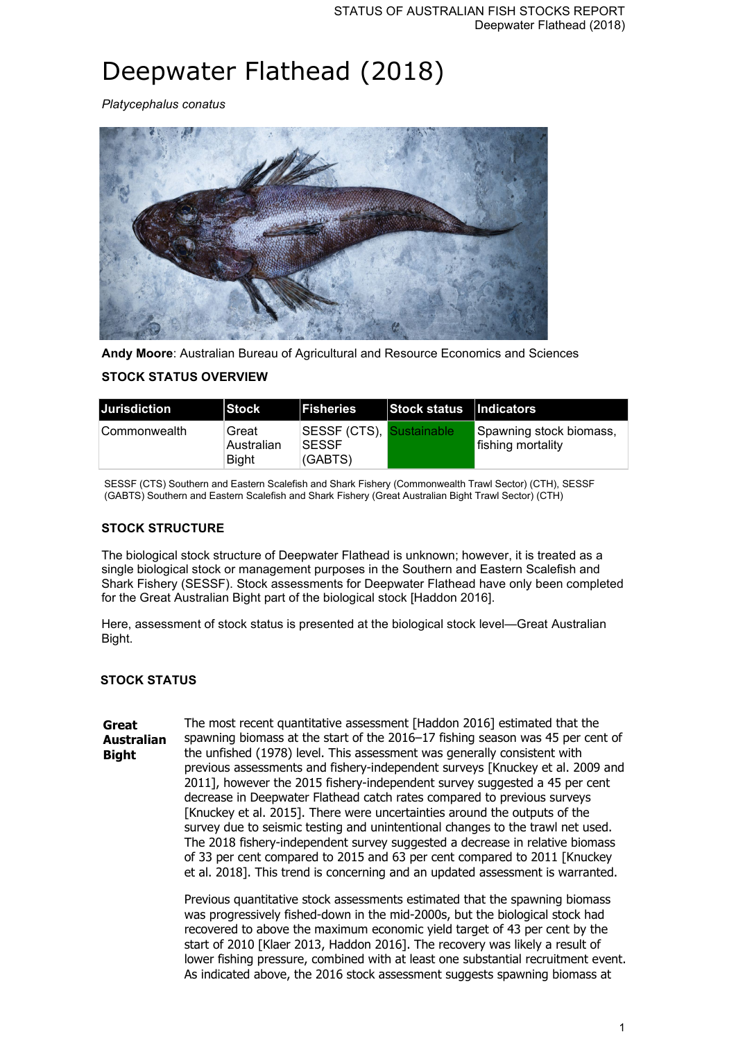# Deepwater Flathead (2018)

*Platycephalus conatus*



**Andy Moore**: Australian Bureau of Agricultural and Resource Economics and Sciences

## **STOCK STATUS OVERVIEW**

| <b>Jurisdiction</b> | <b>Stock</b>                 | <b>IFisheries</b>                                   | Stock status   Indicators |                                              |
|---------------------|------------------------------|-----------------------------------------------------|---------------------------|----------------------------------------------|
| ∣Commonwealth_      | Great<br>Australian<br>Biaht | SESSF (CTS), Sustainable<br><b>SESSF</b><br>(GABTS) |                           | Spawning stock biomass,<br>fishing mortality |

SESSF (CTS) Southern and Eastern Scalefish and Shark Fishery (Commonwealth Trawl Sector) (CTH), SESSF (GABTS) Southern and Eastern Scalefish and Shark Fishery (Great Australian Bight Trawl Sector) (CTH)

## **STOCK STRUCTURE**

The biological stock structure of Deepwater Flathead is unknown; however, it is treated as a single biological stock or management purposes in the Southern and Eastern Scalefish and Shark Fishery (SESSF). Stock assessments for Deepwater Flathead have only been completed for the Great Australian Bight part of the biological stock [Haddon 2016].

Here, assessment of stock status is presented at the biological stock level—Great Australian Bight.

### **STOCK STATUS**

**Great Australian Bight** The most recent quantitative assessment [Haddon 2016] estimated that the spawning biomass at the start of the 2016–17 fishing season was 45 per cent of the unfished (1978) level. This assessment was generally consistent with previous assessments and fishery-independent surveys [Knuckey et al. 2009 and 2011], however the 2015 fishery-independent survey suggested a 45 per cent decrease in Deepwater Flathead catch rates compared to previous surveys [Knuckey et al. 2015]. There were uncertainties around the outputs of the survey due to seismic testing and unintentional changes to the trawl net used. The 2018 fishery-independent survey suggested a decrease in relative biomass of 33 per cent compared to 2015 and 63 per cent compared to 2011 [Knuckey et al. 2018]. This trend is concerning and an updated assessment is warranted.

> Previous quantitative stock assessments estimated that the spawning biomass was progressively fished-down in the mid-2000s, but the biological stock had recovered to above the maximum economic yield target of 43 per cent by the start of 2010 [Klaer 2013, Haddon 2016]. The recovery was likely a result of lower fishing pressure, combined with at least one substantial recruitment event. As indicated above, the 2016 stock assessment suggests spawning biomass at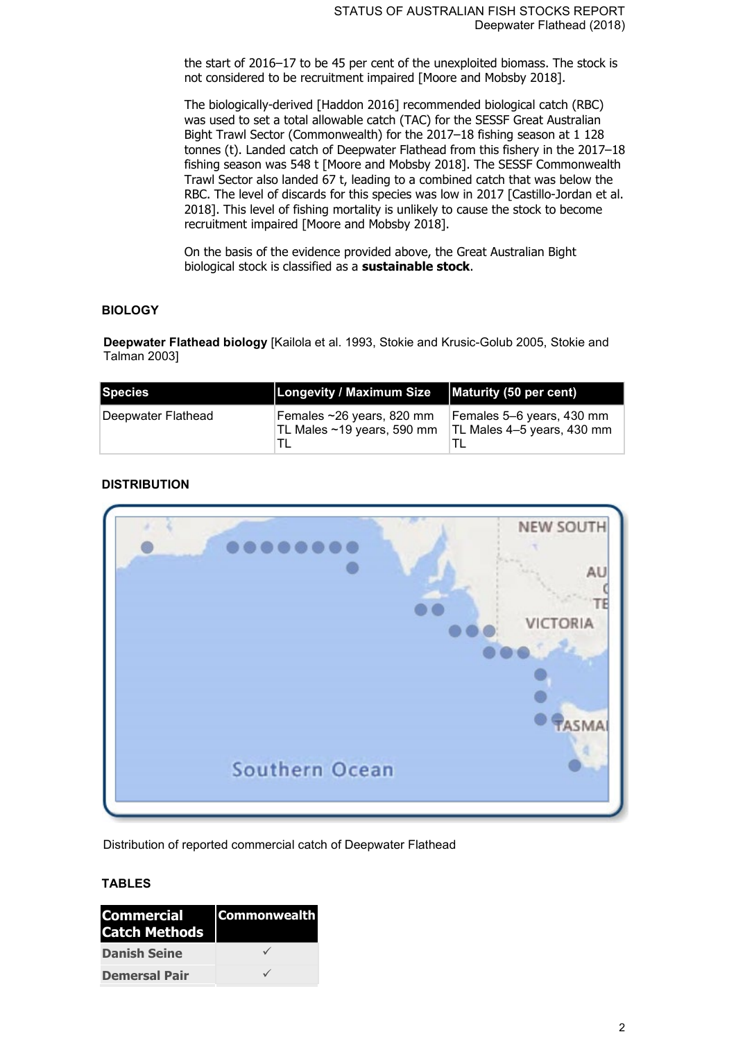the start of 2016–17 to be 45 per cent of the unexploited biomass. The stock is not considered to be recruitment impaired [Moore and Mobsby 2018].

The biologically-derived [Haddon 2016] recommended biological catch (RBC) was used to set a total allowable catch (TAC) for the SESSF Great Australian Bight Trawl Sector (Commonwealth) for the 2017–18 fishing season at 1 128 tonnes (t). Landed catch of Deepwater Flathead from this fishery in the 2017–18 fishing season was 548 t [Moore and Mobsby 2018]. The SESSF Commonwealth Trawl Sector also landed 67 t, leading to a combined catch that was below the RBC. The level of discards for this species was low in 2017 [Castillo-Jordan et al. 2018]. This level of fishing mortality is unlikely to cause the stock to become recruitment impaired [Moore and Mobsby 2018].

On the basis of the evidence provided above, the Great Australian Bight biological stock is classified as a **sustainable stock**.

#### **BIOLOGY**

**Deepwater Flathead biology** [Kailola et al. 1993, Stokie and Krusic-Golub 2005, Stokie and Talman 2003]

| Species            | Longevity / Maximum Size                                | Maturity (50 per cent)                                  |
|--------------------|---------------------------------------------------------|---------------------------------------------------------|
| Deepwater Flathead | Females ~26 years, 820 mm<br>TL Males ~19 years, 590 mm | Females 5–6 years, 430 mm<br>TL Males 4-5 years, 430 mm |

### **DISTRIBUTION**



Distribution of reported commercial catch of Deepwater Flathead

#### **TABLES**

| <b>Commercial</b><br><b>Catch Methods</b> | <b>Commonwealth</b> |
|-------------------------------------------|---------------------|
| <b>Danish Seine</b>                       |                     |
| <b>Demersal Pair</b>                      |                     |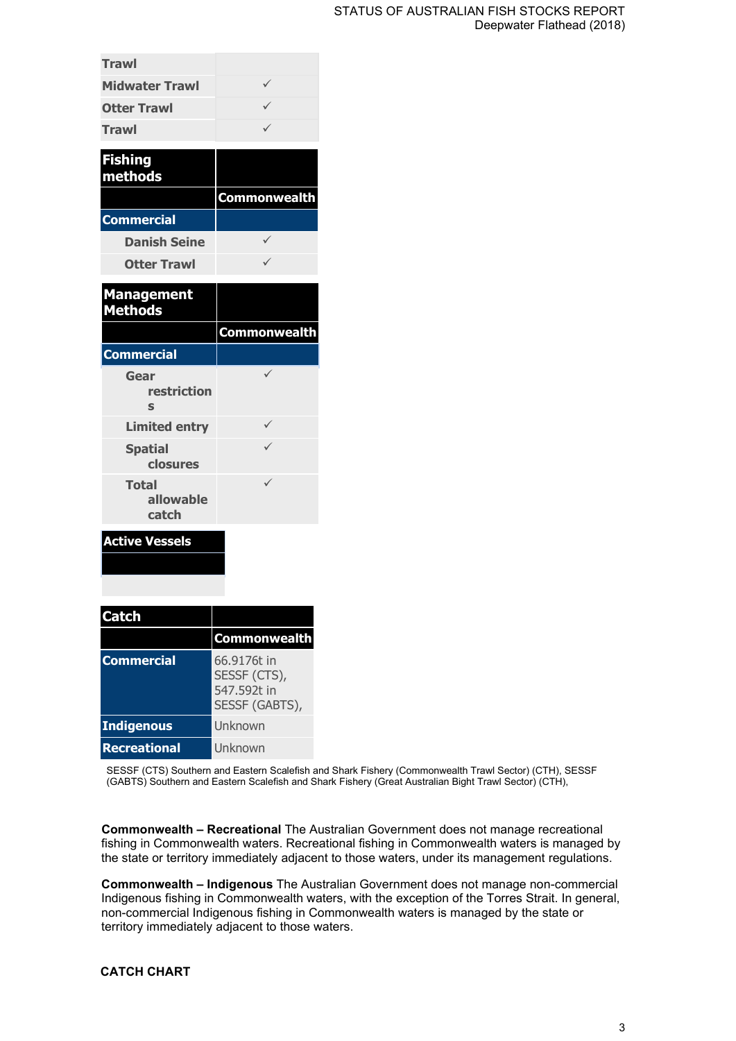#### STATUS OF AUSTRALIAN FISH STOCKS REPORT Deepwater Flathead (2018)

| <b>Trawl</b>          |  |
|-----------------------|--|
| <b>Midwater Trawl</b> |  |
| <b>Otter Trawl</b>    |  |
| <b>Trawl</b>          |  |
|                       |  |

| <b>Fishing</b><br>methods |                     |
|---------------------------|---------------------|
|                           | <b>Commonwealth</b> |
| <b>Commercial</b>         |                     |
| <b>Danish Seine</b>       |                     |
| <b>Otter Trawl</b>        |                     |

| <b>Management</b><br><b>Methods</b> |                     |
|-------------------------------------|---------------------|
|                                     | <b>Commonwealth</b> |
| <b>Commercial</b>                   |                     |
| Gear<br>restriction<br>S            |                     |
| <b>Limited entry</b>                |                     |
| <b>Spatial</b><br>closures          |                     |
| <b>Total</b><br>allowable<br>catch  |                     |

## **Active Vessels**

| <b>Catch</b>        |                                                              |
|---------------------|--------------------------------------------------------------|
|                     | <b>Commonwealth</b>                                          |
| <b>Commercial</b>   | 66.9176t in<br>SESSF (CTS),<br>547,592t in<br>SESSF (GABTS), |
| <b>Indigenous</b>   | Unknown                                                      |
| <b>Recreational</b> | Unknown                                                      |

SESSF (CTS) Southern and Eastern Scalefish and Shark Fishery (Commonwealth Trawl Sector) (CTH), SESSF (GABTS) Southern and Eastern Scalefish and Shark Fishery (Great Australian Bight Trawl Sector) (CTH),

**Commonwealth – Recreational** The Australian Government does not manage recreational fishing in Commonwealth waters. Recreational fishing in Commonwealth waters is managed by the state or territory immediately adjacent to those waters, under its management regulations.

**Commonwealth – Indigenous** The Australian Government does not manage non-commercial Indigenous fishing in Commonwealth waters, with the exception of the Torres Strait. In general, non-commercial Indigenous fishing in Commonwealth waters is managed by the state or territory immediately adjacent to those waters.

### **CATCH CHART**